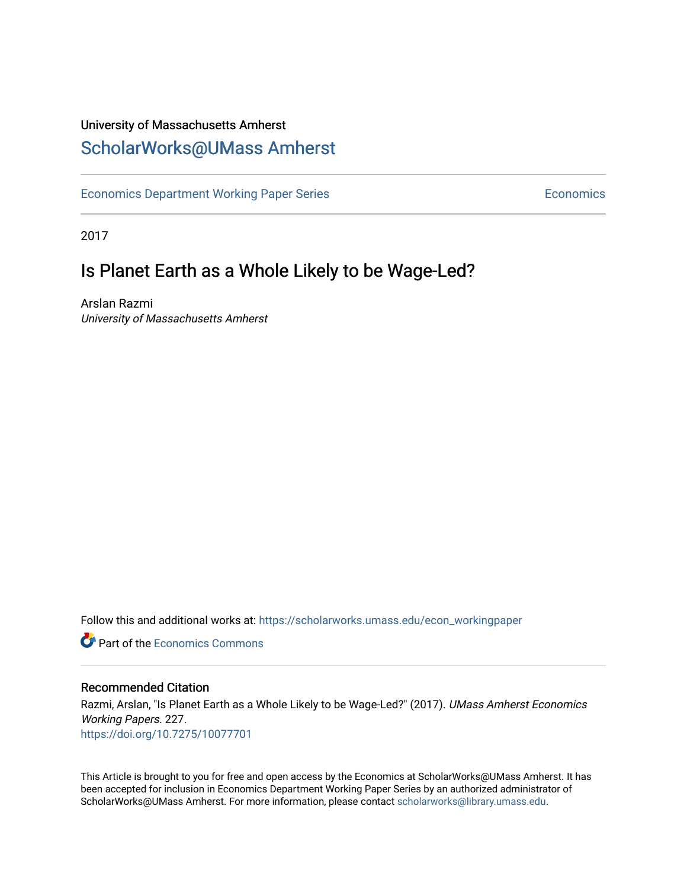## University of Massachusetts Amherst [ScholarWorks@UMass Amherst](https://scholarworks.umass.edu/)

[Economics Department Working Paper Series](https://scholarworks.umass.edu/econ_workingpaper) **Economics** Economics

2017

## Is Planet Earth as a Whole Likely to be Wage-Led?

Arslan Razmi University of Massachusetts Amherst

Follow this and additional works at: [https://scholarworks.umass.edu/econ\\_workingpaper](https://scholarworks.umass.edu/econ_workingpaper?utm_source=scholarworks.umass.edu%2Fecon_workingpaper%2F227&utm_medium=PDF&utm_campaign=PDFCoverPages) 

**C** Part of the [Economics Commons](http://network.bepress.com/hgg/discipline/340?utm_source=scholarworks.umass.edu%2Fecon_workingpaper%2F227&utm_medium=PDF&utm_campaign=PDFCoverPages)

#### Recommended Citation

Razmi, Arslan, "Is Planet Earth as a Whole Likely to be Wage-Led?" (2017). UMass Amherst Economics Working Papers. 227. <https://doi.org/10.7275/10077701>

This Article is brought to you for free and open access by the Economics at ScholarWorks@UMass Amherst. It has been accepted for inclusion in Economics Department Working Paper Series by an authorized administrator of ScholarWorks@UMass Amherst. For more information, please contact [scholarworks@library.umass.edu.](mailto:scholarworks@library.umass.edu)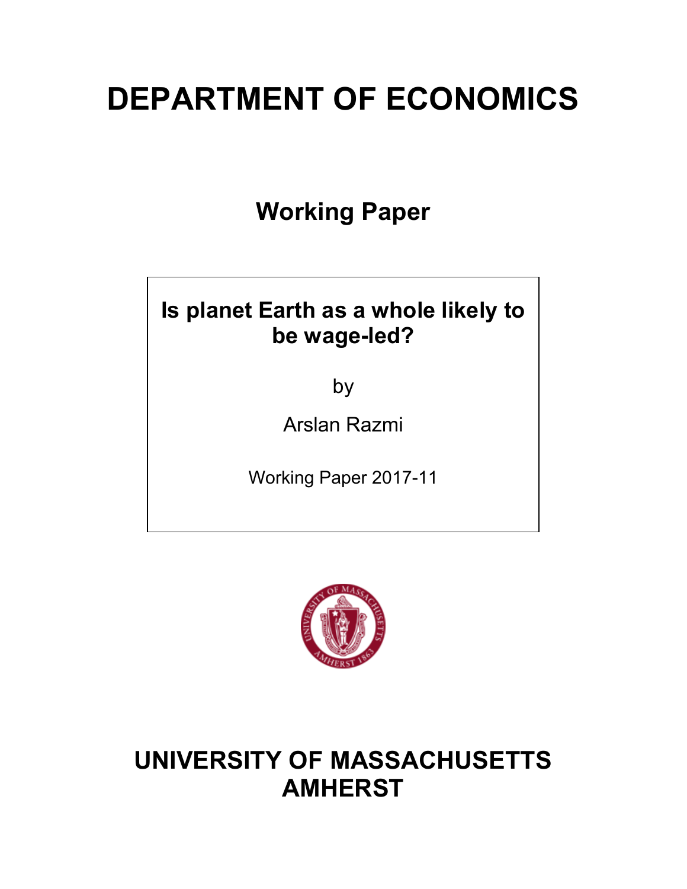# **DEPARTMENT OF ECONOMICS**

**Working Paper**

## **Is planet Earth as a whole likely to be wage-led?**

by

Arslan Razmi

Working Paper 2017-11



## **UNIVERSITY OF MASSACHUSETTS AMHERST**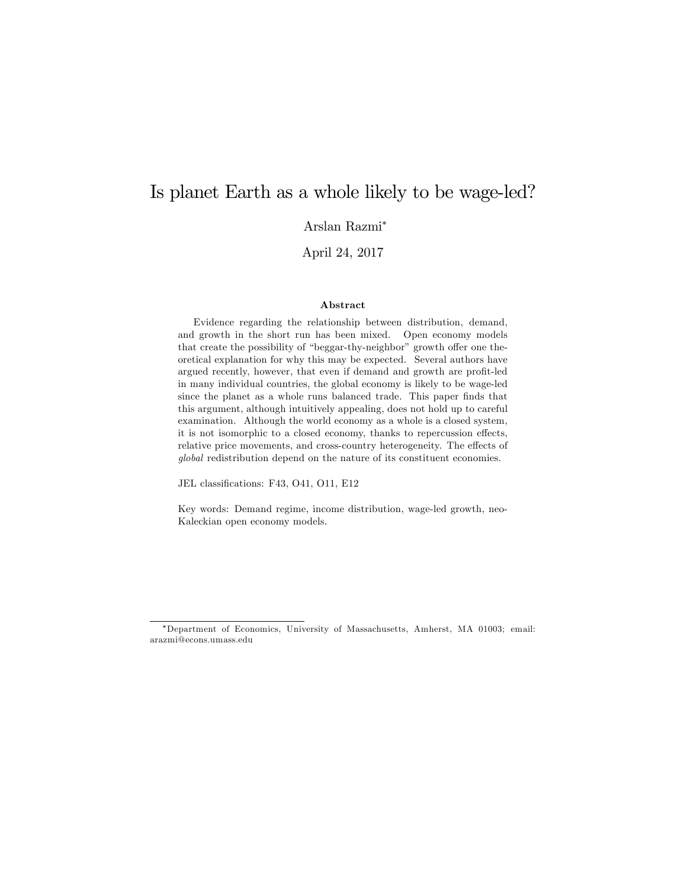## Is planet Earth as a whole likely to be wage-led?

Arslan Razmi<sup>∗</sup>

April 24, 2017

#### Abstract

Evidence regarding the relationship between distribution, demand, and growth in the short run has been mixed. Open economy models that create the possibility of "beggar-thy-neighbor" growth offer one theoretical explanation for why this may be expected. Several authors have argued recently, however, that even if demand and growth are profit-led in many individual countries, the global economy is likely to be wage-led since the planet as a whole runs balanced trade. This paper finds that this argument, although intuitively appealing, does not hold up to careful examination. Although the world economy as a whole is a closed system, it is not isomorphic to a closed economy, thanks to repercussion effects, relative price movements, and cross-country heterogeneity. The effects of *global* redistribution depend on the nature of its constituent economies.

JEL classifications: F43, O41, O11, E12

Key words: Demand regime, income distribution, wage-led growth, neo-Kaleckian open economy models.

<sup>∗</sup>Department of Economics, University of Massachusetts, Amherst, MA 01003; email: arazmi@econs.umass.edu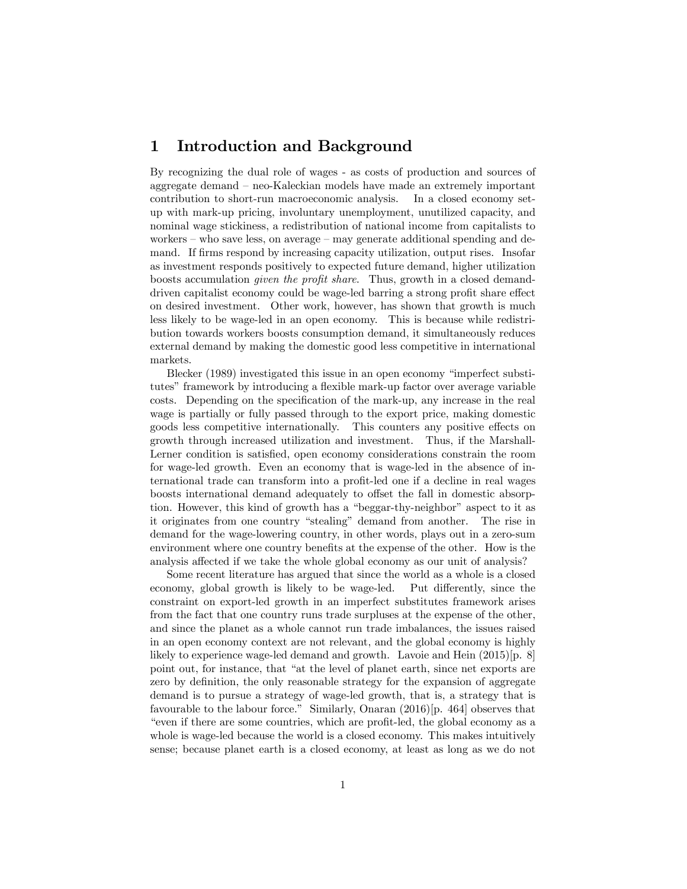### 1 Introduction and Background

By recognizing the dual role of wages - as costs of production and sources of aggregate demand — neo-Kaleckian models have made an extremely important contribution to short-run macroeconomic analysis. In a closed economy setup with mark-up pricing, involuntary unemployment, unutilized capacity, and nominal wage stickiness, a redistribution of national income from capitalists to workers  $-$  who save less, on average  $-$  may generate additional spending and demand. If firms respond by increasing capacity utilization, output rises. Insofar as investment responds positively to expected future demand, higher utilization boosts accumulation *given the profit share*. Thus, growth in a closed demanddriven capitalist economy could be wage-led barring a strong profit share effect on desired investment. Other work, however, has shown that growth is much less likely to be wage-led in an open economy. This is because while redistribution towards workers boosts consumption demand, it simultaneously reduces external demand by making the domestic good less competitive in international markets.

Blecker (1989) investigated this issue in an open economy "imperfect substitutes" framework by introducing a flexible mark-up factor over average variable costs. Depending on the specification of the mark-up, any increase in the real wage is partially or fully passed through to the export price, making domestic goods less competitive internationally. This counters any positive effects on growth through increased utilization and investment. Thus, if the Marshall-Lerner condition is satisfied, open economy considerations constrain the room for wage-led growth. Even an economy that is wage-led in the absence of international trade can transform into a profit-led one if a decline in real wages boosts international demand adequately to offset the fall in domestic absorption. However, this kind of growth has a "beggar-thy-neighbor" aspect to it as it originates from one country "stealing" demand from another. The rise in demand for the wage-lowering country, in other words, plays out in a zero-sum environment where one country benefits at the expense of the other. How is the analysis affected if we take the whole global economy as our unit of analysis?

Some recent literature has argued that since the world as a whole is a closed economy, global growth is likely to be wage-led. Put differently, since the constraint on export-led growth in an imperfect substitutes framework arises from the fact that one country runs trade surpluses at the expense of the other, and since the planet as a whole cannot run trade imbalances, the issues raised in an open economy context are not relevant, and the global economy is highly likely to experience wage-led demand and growth. Lavoie and Hein (2015)[p. 8] point out, for instance, that "at the level of planet earth, since net exports are zero by definition, the only reasonable strategy for the expansion of aggregate demand is to pursue a strategy of wage-led growth, that is, a strategy that is favourable to the labour force." Similarly, Onaran (2016)[p. 464] observes that "even if there are some countries, which are profit-led, the global economy as a whole is wage-led because the world is a closed economy. This makes intuitively sense; because planet earth is a closed economy, at least as long as we do not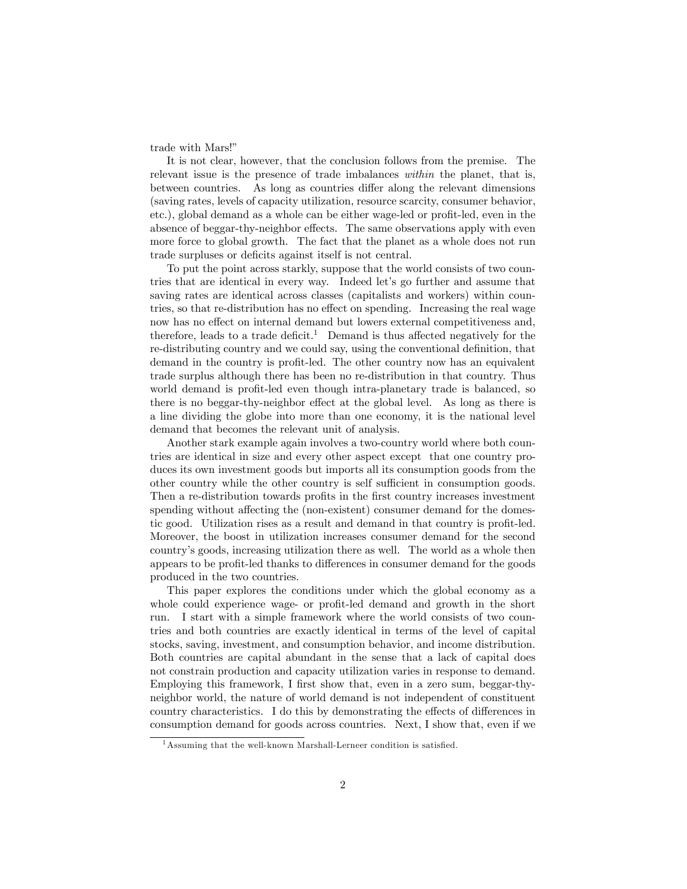trade with Mars!"

It is not clear, however, that the conclusion follows from the premise. The relevant issue is the presence of trade imbalances *within* the planet, that is, between countries. As long as countries differ along the relevant dimensions (saving rates, levels of capacity utilization, resource scarcity, consumer behavior, etc.), global demand as a whole can be either wage-led or profit-led, even in the absence of beggar-thy-neighbor effects. The same observations apply with even more force to global growth. The fact that the planet as a whole does not run trade surpluses or deficits against itself is not central.

To put the point across starkly, suppose that the world consists of two countries that are identical in every way. Indeed let's go further and assume that saving rates are identical across classes (capitalists and workers) within countries, so that re-distribution has no effect on spending. Increasing the real wage now has no effect on internal demand but lowers external competitiveness and, therefore, leads to a trade deficit.<sup>1</sup> Demand is thus affected negatively for the re-distributing country and we could say, using the conventional definition, that demand in the country is profit-led. The other country now has an equivalent trade surplus although there has been no re-distribution in that country. Thus world demand is profit-led even though intra-planetary trade is balanced, so there is no beggar-thy-neighbor effect at the global level. As long as there is a line dividing the globe into more than one economy, it is the national level demand that becomes the relevant unit of analysis.

Another stark example again involves a two-country world where both countries are identical in size and every other aspect except that one country produces its own investment goods but imports all its consumption goods from the other country while the other country is self sufficient in consumption goods. Then a re-distribution towards profits in the first country increases investment spending without affecting the (non-existent) consumer demand for the domestic good. Utilization rises as a result and demand in that country is profit-led. Moreover, the boost in utilization increases consumer demand for the second country's goods, increasing utilization there as well. The world as a whole then appears to be profit-led thanks to differences in consumer demand for the goods produced in the two countries.

This paper explores the conditions under which the global economy as a whole could experience wage- or profit-led demand and growth in the short run. I start with a simple framework where the world consists of two countries and both countries are exactly identical in terms of the level of capital stocks, saving, investment, and consumption behavior, and income distribution. Both countries are capital abundant in the sense that a lack of capital does not constrain production and capacity utilization varies in response to demand. Employing this framework, I first show that, even in a zero sum, beggar-thyneighbor world, the nature of world demand is not independent of constituent country characteristics. I do this by demonstrating the effects of differences in consumption demand for goods across countries. Next, I show that, even if we

<sup>&</sup>lt;sup>1</sup> Assuming that the well-known Marshall-Lerneer condition is satisfied.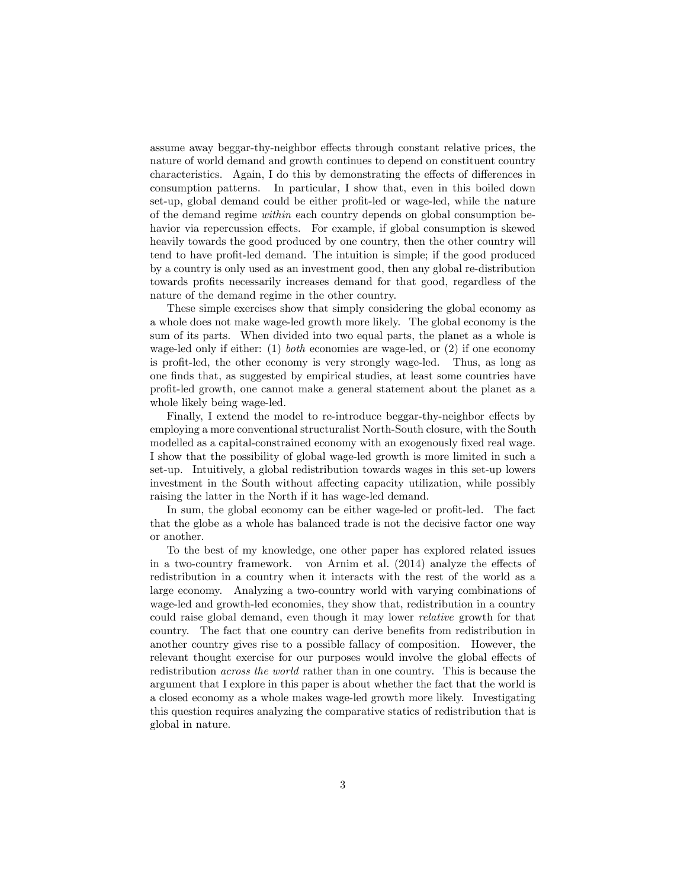assume away beggar-thy-neighbor effects through constant relative prices, the nature of world demand and growth continues to depend on constituent country characteristics. Again, I do this by demonstrating the effects of differences in consumption patterns. In particular, I show that, even in this boiled down set-up, global demand could be either profit-led or wage-led, while the nature of the demand regime *within* each country depends on global consumption behavior via repercussion effects. For example, if global consumption is skewed heavily towards the good produced by one country, then the other country will tend to have profit-led demand. The intuition is simple; if the good produced by a country is only used as an investment good, then any global re-distribution towards profits necessarily increases demand for that good, regardless of the nature of the demand regime in the other country.

These simple exercises show that simply considering the global economy as a whole does not make wage-led growth more likely. The global economy is the sum of its parts. When divided into two equal parts, the planet as a whole is wage-led only if either: (1) *both* economies are wage-led, or (2) if one economy is profit-led, the other economy is very strongly wage-led. Thus, as long as one finds that, as suggested by empirical studies, at least some countries have profit-led growth, one cannot make a general statement about the planet as a whole likely being wage-led.

Finally, I extend the model to re-introduce beggar-thy-neighbor effects by employing a more conventional structuralist North-South closure, with the South modelled as a capital-constrained economy with an exogenously fixed real wage. I show that the possibility of global wage-led growth is more limited in such a set-up. Intuitively, a global redistribution towards wages in this set-up lowers investment in the South without affecting capacity utilization, while possibly raising the latter in the North if it has wage-led demand.

In sum, the global economy can be either wage-led or profit-led. The fact that the globe as a whole has balanced trade is not the decisive factor one way or another.

To the best of my knowledge, one other paper has explored related issues in a two-country framework. von Arnim et al.  $(2014)$  analyze the effects of redistribution in a country when it interacts with the rest of the world as a large economy. Analyzing a two-country world with varying combinations of wage-led and growth-led economies, they show that, redistribution in a country could raise global demand, even though it may lower *relative* growth for that country. The fact that one country can derive benefits from redistribution in another country gives rise to a possible fallacy of composition. However, the relevant thought exercise for our purposes would involve the global effects of redistribution *across the world* rather than in one country. This is because the argument that I explore in this paper is about whether the fact that the world is a closed economy as a whole makes wage-led growth more likely. Investigating this question requires analyzing the comparative statics of redistribution that is global in nature.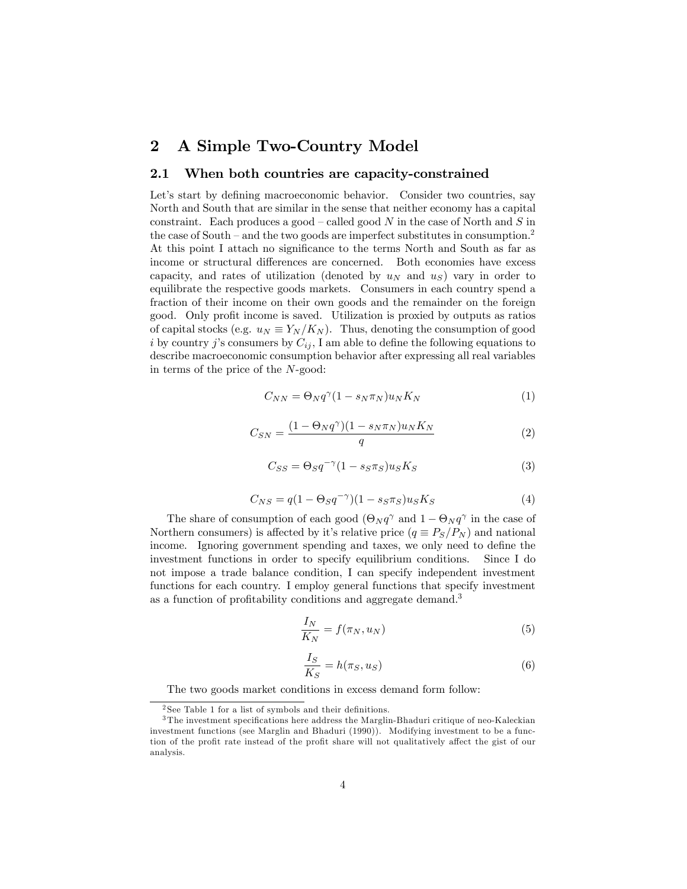### 2 A Simple Two-Country Model

#### 2.1 When both countries are capacity-constrained

Let's start by defining macroeconomic behavior. Consider two countries, say North and South that are similar in the sense that neither economy has a capital constraint. Each produces a good — called good *N* in the case of North and *S* in the case of South – and the two goods are imperfect substitutes in consumption.<sup>2</sup> At this point I attach no significance to the terms North and South as far as income or structural differences are concerned. Both economies have excess capacity, and rates of utilization (denoted by  $u_N$  and  $u_S$ ) vary in order to equilibrate the respective goods markets. Consumers in each country spend a fraction of their income on their own goods and the remainder on the foreign good. Only profit income is saved. Utilization is proxied by outputs as ratios of capital stocks (e.g.  $u_N \equiv Y_N/K_N$ ). Thus, denoting the consumption of good *i* by country *j*'s consumers by  $C_{ij}$ , I am able to define the following equations to describe macroeconomic consumption behavior after expressing all real variables in terms of the price of the *N*-good:

$$
C_{NN} = \Theta_N q^{\gamma} (1 - s_N \pi_N) u_N K_N \tag{1}
$$

$$
C_{SN} = \frac{(1 - \Theta_N q^{\gamma})(1 - s_N \pi_N) u_N K_N}{q}
$$
\n<sup>(2)</sup>

$$
C_{SS} = \Theta_S q^{-\gamma} (1 - s_S \pi_S) u_S K_S \tag{3}
$$

$$
C_{NS} = q(1 - \Theta_S q^{-\gamma})(1 - s_S \pi_S) u_S K_S \tag{4}
$$

The share of consumption of each good  $(\Theta_N q^\gamma$  and  $1 - \Theta_N q^\gamma$  in the case of Northern consumers) is affected by it's relative price  $(q \equiv P_S/P_N)$  and national income. Ignoring government spending and taxes, we only need to define the investment functions in order to specify equilibrium conditions. Since I do not impose a trade balance condition, I can specify independent investment functions for each country. I employ general functions that specify investment as a function of profitability conditions and aggregate demand.<sup>3</sup>

$$
\frac{I_N}{K_N} = f(\pi_N, u_N) \tag{5}
$$

$$
\frac{I_S}{K_S} = h(\pi_S, u_S) \tag{6}
$$

The two goods market conditions in excess demand form follow:

<sup>&</sup>lt;sup>2</sup> See Table 1 for a list of symbols and their definitions.

<sup>3</sup> The investment specifications here address the Marglin-Bhaduri critique of neo-Kaleckian investment functions (see Marglin and Bhaduri (1990)). Modifying investment to be a function of the profit rate instead of the profit share will not qualitatively affect the gist of our analysis.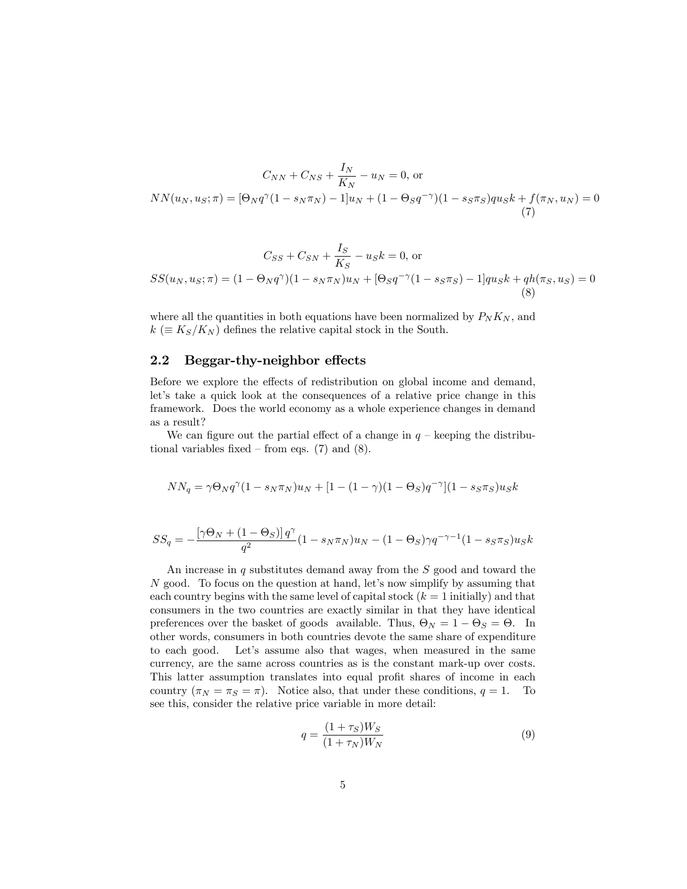$$
C_{NN} + C_{NS} + \frac{I_N}{K_N} - u_N = 0, \text{ or}
$$
  
\n
$$
NN(u_N, u_S; \pi) = [\Theta_N q^{\gamma} (1 - s_N \pi_N) - 1] u_N + (1 - \Theta_S q^{-\gamma}) (1 - s_S \pi_S) q u_S k + f(\pi_N, u_N) = 0
$$
  
\n(7)

$$
C_{SS} + C_{SN} + \frac{I_S}{K_S} - u_S k = 0, \text{ or}
$$
  

$$
SS(u_N, u_S; \pi) = (1 - \Theta_N q^{\gamma})(1 - s_N \pi_N)u_N + [\Theta_S q^{-\gamma}(1 - s_S \pi_S) - 1]qu_S k + qh(\pi_S, u_S) = 0
$$
  
(8)

where all the quantities in both equations have been normalized by  $P_N K_N$ , and  $k \in K_S/K_N$  defines the relative capital stock in the South.

#### $2.2$  Beggar-thy-neighbor effects

Before we explore the effects of redistribution on global income and demand, let's take a quick look at the consequences of a relative price change in this framework. Does the world economy as a whole experience changes in demand as a result?

We can figure out the partial effect of a change in  $q$  – keeping the distributional variables fixed – from eqs.  $(7)$  and  $(8)$ .

$$
NN_q = \gamma \Theta_N q^{\gamma} (1 - s_N \pi_N) u_N + [1 - (1 - \gamma)(1 - \Theta_S) q^{-\gamma}] (1 - s_S \pi_S) u_S k
$$

$$
SS_q = -\frac{\left[\gamma \Theta_N + \left(1 - \Theta_S\right)\right]q^{\gamma}}{q^2} \left(1 - s_N \pi_N\right) u_N - \left(1 - \Theta_S\right) \gamma q^{-\gamma - 1} \left(1 - s_S \pi_S\right) u_S k
$$

An increase in *q* substitutes demand away from the *S* good and toward the *N* good. To focus on the question at hand, let's now simplify by assuming that each country begins with the same level of capital stock  $(k = 1$  initially) and that consumers in the two countries are exactly similar in that they have identical preferences over the basket of goods available. Thus,  $\Theta_N = 1 - \Theta_S = \Theta$ . In other words, consumers in both countries devote the same share of expenditure to each good. Let's assume also that wages, when measured in the same currency, are the same across countries as is the constant mark-up over costs. This latter assumption translates into equal profit shares of income in each country  $(\pi_N = \pi_S = \pi)$ . Notice also, that under these conditions,  $q = 1$ . To see this, consider the relative price variable in more detail:

$$
q = \frac{(1 + \tau_S)W_S}{(1 + \tau_N)W_N} \tag{9}
$$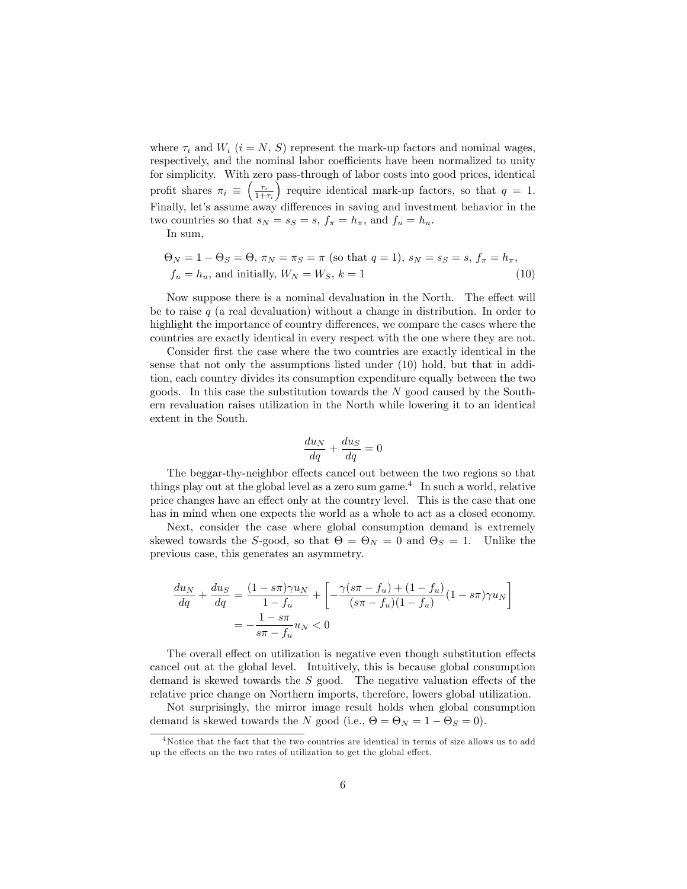where  $\tau_i$  and  $W_i$  ( $i = N, S$ ) represent the mark-up factors and nominal wages, respectively, and the nominal labor coefficients have been normalized to unity for simplicity. With zero pass-through of labor costs into good prices, identical profit shares  $\pi_i \equiv \left(\frac{\tau_i}{1+\tau_i}\right)$ ) require identical mark-up factors, so that  $q = 1$ . Finally, let's assume away differences in saving and investment behavior in the two countries so that  $s_N = s_S = s$ ,  $f_\pi = h_\pi$ , and  $f_u = h_u$ .

In sum,

$$
\Theta_N = 1 - \Theta_S = \Theta, \ \pi_N = \pi_S = \pi \ (\text{so that } q = 1), \ s_N = s_S = s, \ f_\pi = h_\pi,
$$
  

$$
f_u = h_u, \text{ and initially, } W_N = W_S, \ k = 1 \tag{10}
$$

Now suppose there is a nominal devaluation in the North. The effect will be to raise *q* (a real devaluation) without a change in distribution. In order to highlight the importance of country differences, we compare the cases where the countries are exactly identical in every respect with the one where they are not.

Consider first the case where the two countries are exactly identical in the sense that not only the assumptions listed under (10) hold, but that in addition, each country divides its consumption expenditure equally between the two goods. In this case the substitution towards the *N* good caused by the Southern revaluation raises utilization in the North while lowering it to an identical extent in the South.

$$
\frac{du_N}{dq} + \frac{du_S}{dq} = 0
$$

The beggar-thy-neighbor effects cancel out between the two regions so that things play out at the global level as a zero sum game.<sup>4</sup> In such a world, relative price changes have an effect only at the country level. This is the case that one has in mind when one expects the world as a whole to act as a closed economy.

Next, consider the case where global consumption demand is extremely skewed towards the *S*-good, so that  $\Theta = \Theta_N = 0$  and  $\Theta_S = 1$ . Unlike the previous case, this generates an asymmetry.

$$
\frac{du_N}{dq} + \frac{du_S}{dq} = \frac{(1 - s\pi)\gamma u_N}{1 - f_u} + \left[ -\frac{\gamma(s\pi - f_u) + (1 - f_u)}{(s\pi - f_u)(1 - f_u)} (1 - s\pi)\gamma u_N \right]
$$

$$
= -\frac{1 - s\pi}{s\pi - f_u} u_N < 0
$$

The overall effect on utilization is negative even though substitution effects cancel out at the global level. Intuitively, this is because global consumption demand is skewed towards the *S* good. The negative valuation effects of the relative price change on Northern imports, therefore, lowers global utilization.

Not surprisingly, the mirror image result holds when global consumption demand is skewed towards the *N* good (i.e.,  $\Theta = \Theta_N = 1 - \Theta_S = 0$ ).

 $4$ Notice that the fact that the two countries are identical in terms of size allows us to add up the effects on the two rates of utilization to get the global effect.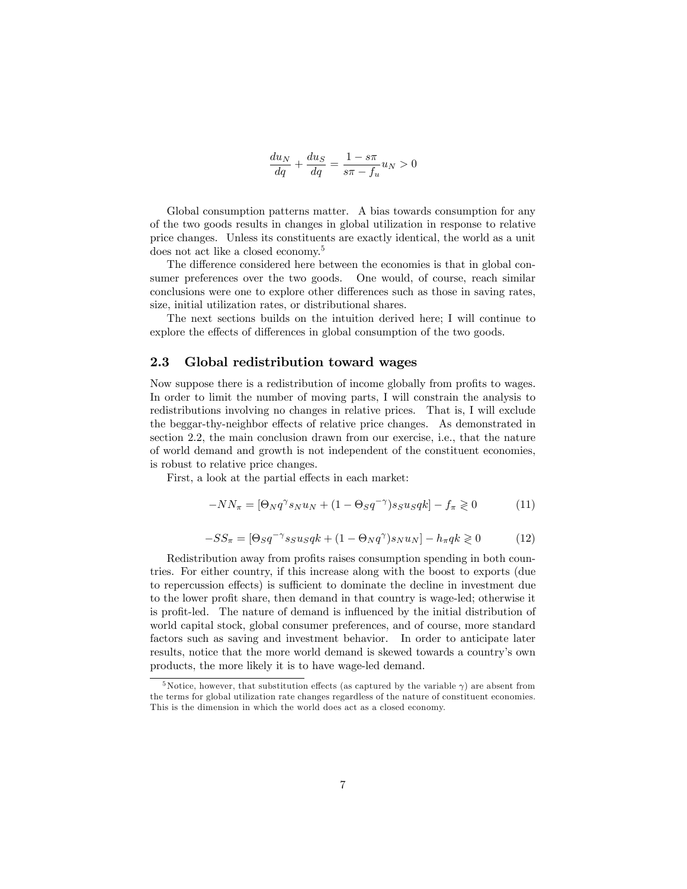$$
\frac{du_N}{dq} + \frac{du_S}{dq} = \frac{1 - s\pi}{s\pi - f_u} u_N > 0
$$

Global consumption patterns matter. A bias towards consumption for any of the two goods results in changes in global utilization in response to relative price changes. Unless its constituents are exactly identical, the world as a unit does not act like a closed economy.<sup>5</sup>

The difference considered here between the economies is that in global consumer preferences over the two goods. One would, of course, reach similar conclusions were one to explore other differences such as those in saving rates, size, initial utilization rates, or distributional shares.

The next sections builds on the intuition derived here; I will continue to explore the effects of differences in global consumption of the two goods.

#### 2.3 Global redistribution toward wages

Now suppose there is a redistribution of income globally from profits to wages. In order to limit the number of moving parts, I will constrain the analysis to redistributions involving no changes in relative prices. That is, I will exclude the beggar-thy-neighbor effects of relative price changes. As demonstrated in section 2.2, the main conclusion drawn from our exercise, i.e., that the nature of world demand and growth is not independent of the constituent economies, is robust to relative price changes.

First, a look at the partial effects in each market:

$$
-NN_{\pi} = [\Theta_N q^{\gamma} s_N u_N + (1 - \Theta_S q^{-\gamma}) s_S u_S q k] - f_{\pi} \geq 0 \tag{11}
$$

$$
-SS_{\pi} = [\Theta_S q^{-\gamma} s_S u_S q k + (1 - \Theta_N q^{\gamma}) s_N u_N] - h_{\pi} q k \geq 0 \tag{12}
$$

Redistribution away from profits raises consumption spending in both countries. For either country, if this increase along with the boost to exports (due to repercussion effects) is sufficient to dominate the decline in investment due to the lower profit share, then demand in that country is wage-led; otherwise it is profit-led. The nature of demand is influenced by the initial distribution of world capital stock, global consumer preferences, and of course, more standard factors such as saving and investment behavior. In order to anticipate later results, notice that the more world demand is skewed towards a country's own products, the more likely it is to have wage-led demand.

<sup>&</sup>lt;sup>5</sup>Notice, however, that substitution effects (as captured by the variable  $\gamma$ ) are absent from the terms for global utilization rate changes regardless of the nature of constituent economies. This is the dimension in which the world does act as a closed economy.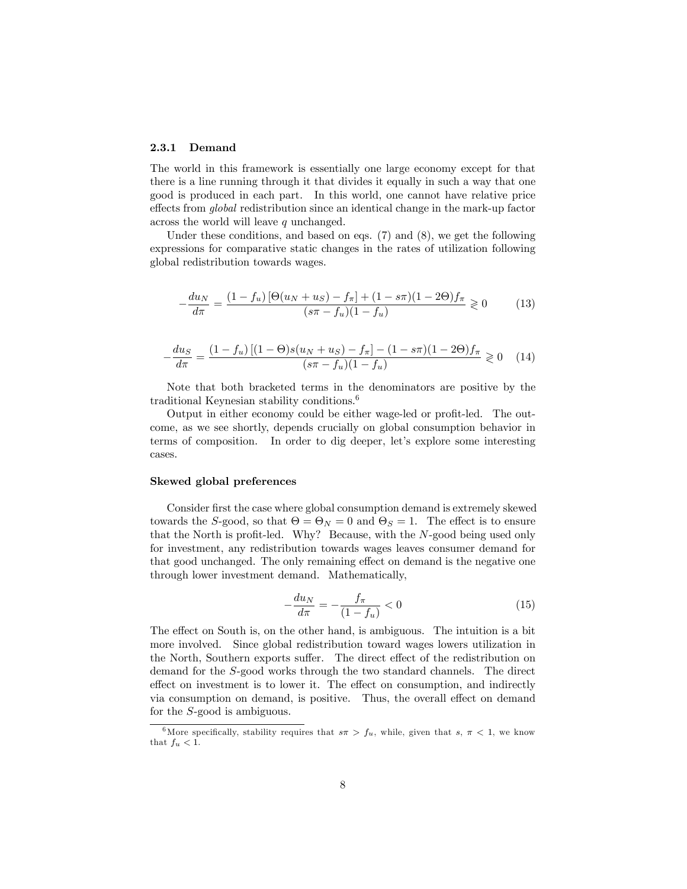#### 2.3.1 Demand

The world in this framework is essentially one large economy except for that there is a line running through it that divides it equally in such a way that one good is produced in each part. In this world, one cannot have relative price effects from *global* redistribution since an identical change in the mark-up factor across the world will leave *q* unchanged.

Under these conditions, and based on eqs. (7) and (8), we get the following expressions for comparative static changes in the rates of utilization following global redistribution towards wages.

$$
-\frac{du_N}{d\pi} = \frac{(1 - f_u)\left[\Theta(u_N + u_S) - f_\pi\right] + (1 - s\pi)(1 - 2\Theta)f_\pi}{(s\pi - f_u)(1 - f_u)} \ge 0\tag{13}
$$

$$
-\frac{du_S}{d\pi} = \frac{(1 - f_u)[(1 - \Theta)s(u_N + u_S) - f_\pi] - (1 - s\pi)(1 - 2\Theta)f_\pi}{(s\pi - f_u)(1 - f_u)} \ge 0 \quad (14)
$$

Note that both bracketed terms in the denominators are positive by the traditional Keynesian stability conditions.6

Output in either economy could be either wage-led or profit-led. The outcome, as we see shortly, depends crucially on global consumption behavior in terms of composition. In order to dig deeper, let's explore some interesting cases.

#### Skewed global preferences

Consider first the case where global consumption demand is extremely skewed towards the *S*-good, so that  $\Theta = \Theta_N = 0$  and  $\Theta_S = 1$ . The effect is to ensure that the North is profit-led. Why? Because, with the *N*-good being used only for investment, any redistribution towards wages leaves consumer demand for that good unchanged. The only remaining effect on demand is the negative one through lower investment demand. Mathematically,

$$
-\frac{du_N}{d\pi} = -\frac{f_\pi}{(1 - f_u)} < 0 \tag{15}
$$

The effect on South is, on the other hand, is ambiguous. The intuition is a bit more involved. Since global redistribution toward wages lowers utilization in the North, Southern exports suffer. The direct effect of the redistribution on demand for the *S*-good works through the two standard channels. The direct effect on investment is to lower it. The effect on consumption, and indirectly via consumption on demand, is positive. Thus, the overall effect on demand for the *S*-good is ambiguous.

<sup>&</sup>lt;sup>6</sup>More specifically, stability requires that  $s\pi > f_u$ , while, given that  $s, \pi < 1$ , we know that  $f_u < 1$ .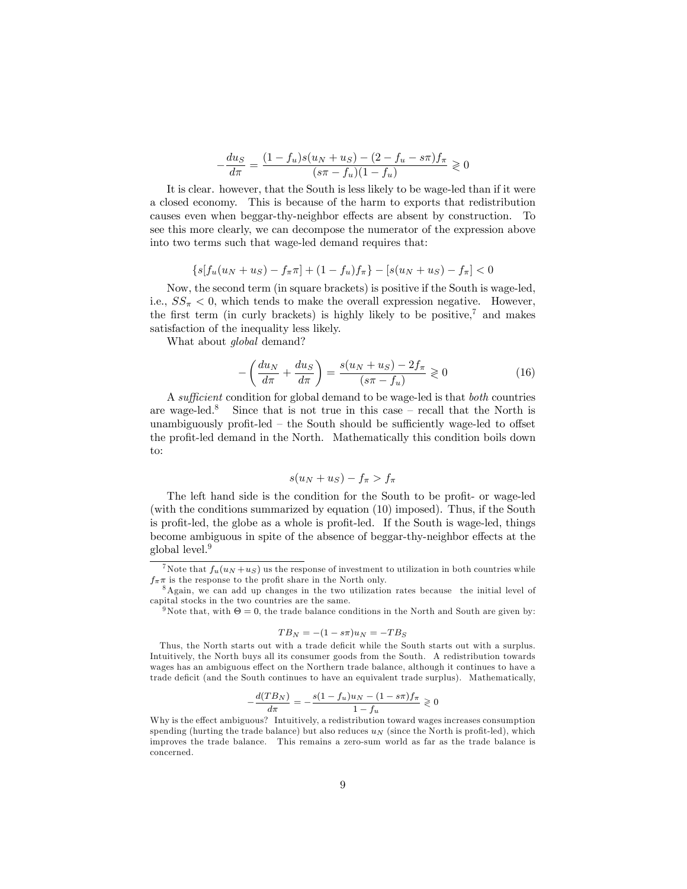$$
-\frac{du_S}{d\pi} = \frac{(1 - f_u)s(u_N + u_S) - (2 - f_u - s\pi)f_\pi}{(s\pi - f_u)(1 - f_u)} \ge 0
$$

It is clear. however, that the South is less likely to be wage-led than if it were a closed economy. This is because of the harm to exports that redistribution causes even when beggar-thy-neighbor effects are absent by construction. To see this more clearly, we can decompose the numerator of the expression above into two terms such that wage-led demand requires that:

$$
\{s[f_u(u_N+u_S)-f_\pi\pi]+(1-f_u)f_\pi\}-[s(u_N+u_S)-f_\pi]<0
$$

Now, the second term (in square brackets) is positive if the South is wage-led, i.e.,  $SS_{\pi} < 0$ , which tends to make the overall expression negative. However, the first term (in curly brackets) is highly likely to be positive,<sup>7</sup> and makes satisfaction of the inequality less likely.

What about *global* demand?

$$
-\left(\frac{du_N}{d\pi} + \frac{du_S}{d\pi}\right) = \frac{s(u_N + u_S) - 2f_\pi}{(s\pi - f_u)} \ge 0\tag{16}
$$

A *su*¢*cient* condition for global demand to be wage-led is that *both* countries are wage-led.<sup>8</sup> Since that is not true in this case – recall that the North is unambiguously profit-led  $-$  the South should be sufficiently wage-led to offset the profit-led demand in the North. Mathematically this condition boils down to:

$$
s(u_N + u_S) - f_\pi > f_\pi
$$

The left hand side is the condition for the South to be profit- or wage-led (with the conditions summarized by equation (10) imposed). Thus, if the South is profit-led, the globe as a whole is profit-led. If the South is wage-led, things become ambiguous in spite of the absence of beggar-thy-neighbor effects at the global level.9

$$
TB_N = -(1 - s\pi)u_N = -TB_S
$$

Thus, the North starts out with a trade deficit while the South starts out with a surplus. Intuitively, the North buys all its consumer goods from the South. A redistribution towards wages has an ambiguous effect on the Northern trade balance, although it continues to have a trade deficit (and the South continues to have an equivalent trade surplus). Mathematically,

$$
-\frac{d(TB_N)}{d\pi} = -\frac{s(1 - f_u)u_N - (1 - s\pi)f_\pi}{1 - f_u} \geq 0
$$

<sup>&</sup>lt;sup>7</sup>Note that  $f_u(u_N + u_S)$  us the response of investment to utilization in both countries while  $f_{\pi}$ π is the response to the profit share in the North only.

<sup>8</sup>Again, we can add up changes in the two utilization rates because the initial level of capital stocks in the two countries are the same.

<sup>&</sup>lt;sup>9</sup>Note that, with  $\Theta = 0$ , the trade balance conditions in the North and South are given by:

 $d\pi$   $1 - f_u$ <br>Why is the effect ambiguous? Intuitively, a redistribution toward wages increases consumption spending (hurting the trade balance) but also reduces *u<sup>N</sup>* (since the North is profit-led), which improves the trade balance. This remains a zero-sum world as far as the trade balance is concerned.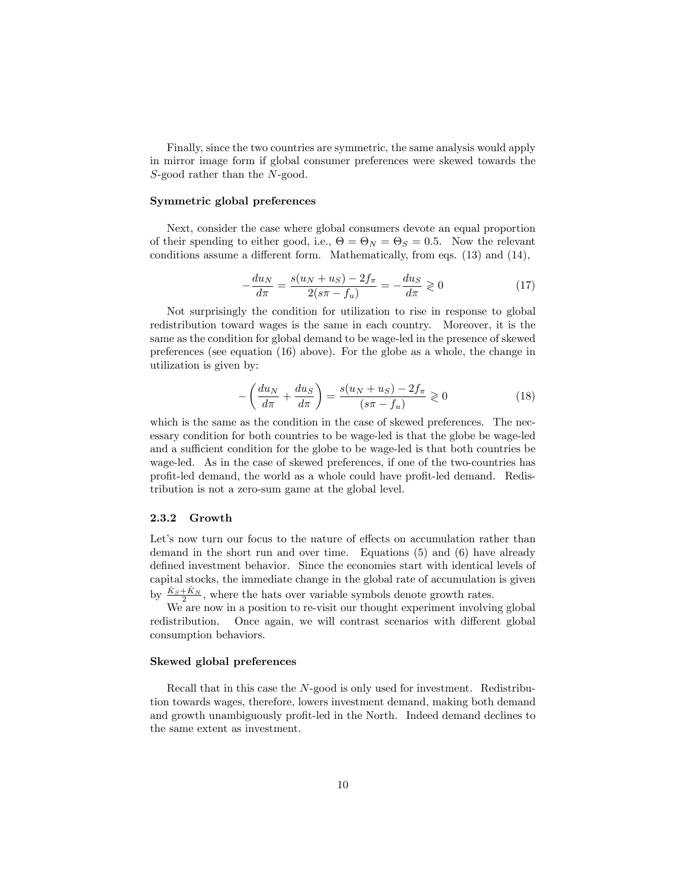Finally, since the two countries are symmetric, the same analysis would apply in mirror image form if global consumer preferences were skewed towards the *S*-good rather than the *N*-good.

#### Symmetric global preferences

Next, consider the case where global consumers devote an equal proportion of their spending to either good, i.e.,  $\Theta = \Theta_N = \Theta_S = 0.5$ . Now the relevant conditions assume a different form. Mathematically, from eqs.  $(13)$  and  $(14)$ ,

$$
-\frac{du_N}{d\pi} = \frac{s(u_N + u_S) - 2f_\pi}{2(s\pi - f_u)} = -\frac{du_S}{d\pi} \geq 0
$$
\n(17)

Not surprisingly the condition for utilization to rise in response to global redistribution toward wages is the same in each country. Moreover, it is the same as the condition for global demand to be wage-led in the presence of skewed preferences (see equation (16) above). For the globe as a whole, the change in utilization is given by:

$$
-\left(\frac{du_N}{d\pi} + \frac{du_S}{d\pi}\right) = \frac{s(u_N + u_S) - 2f_\pi}{(s\pi - f_u)} \ge 0\tag{18}
$$

which is the same as the condition in the case of skewed preferences. The necessary condition for both countries to be wage-led is that the globe be wage-led and a sufficient condition for the globe to be wage-led is that both countries be wage-led. As in the case of skewed preferences, if one of the two-countries has profit-led demand, the world as a whole could have profit-led demand. Redistribution is not a zero-sum game at the global level.

#### 2.3.2 Growth

Let's now turn our focus to the nature of effects on accumulation rather than demand in the short run and over time. Equations (5) and (6) have already defined investment behavior. Since the economies start with identical levels of capital stocks, the immediate change in the global rate of accumulation is given by  $\frac{\hat{K}_S + \hat{K}_N}{2}$ , where the hats over variable symbols denote growth rates.

We are now in a position to re-visit our thought experiment involving global redistribution. Once again, we will contrast scenarios with different global consumption behaviors.

#### Skewed global preferences

Recall that in this case the *N*-good is only used for investment. Redistribution towards wages, therefore, lowers investment demand, making both demand and growth unambiguously profit-led in the North. Indeed demand declines to the same extent as investment.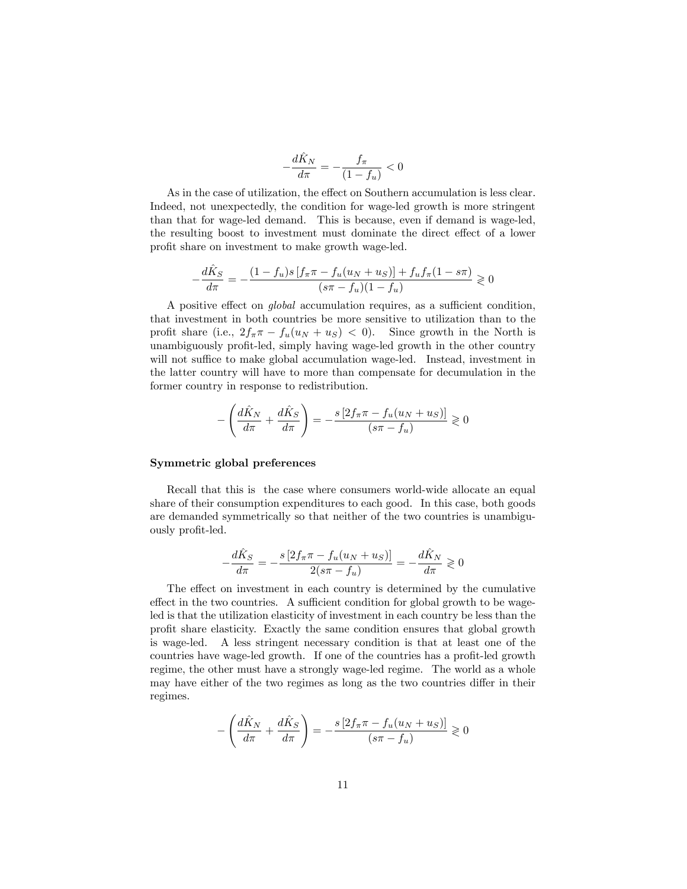$$
-\frac{d\hat{K}_N}{d\pi} = -\frac{f_\pi}{(1 - f_u)} < 0
$$

As in the case of utilization, the effect on Southern accumulation is less clear. Indeed, not unexpectedly, the condition for wage-led growth is more stringent than that for wage-led demand. This is because, even if demand is wage-led, the resulting boost to investment must dominate the direct effect of a lower profit share on investment to make growth wage-led.

$$
-\frac{d\hat{K}_S}{d\pi} = -\frac{(1 - f_u)s[f_\pi \pi - f_u(u_N + u_S)] + f_u f_\pi (1 - s\pi)}{(s\pi - f_u)(1 - f_u)} \ge 0
$$

A positive effect on *global* accumulation requires, as a sufficient condition, that investment in both countries be more sensitive to utilization than to the profit share (i.e.,  $2f_{\pi}\pi - f_u(u_N + u_S) < 0$ ). Since growth in the North is unambiguously profit-led, simply having wage-led growth in the other country will not suffice to make global accumulation wage-led. Instead, investment in the latter country will have to more than compensate for decumulation in the former country in response to redistribution.

$$
-\left(\frac{d\hat{K}_N}{d\pi} + \frac{d\hat{K}_S}{d\pi}\right) = -\frac{s\left[2f_\pi\pi - f_u(u_N + u_S)\right]}{(s\pi - f_u)} \geq 0
$$

#### Symmetric global preferences

Recall that this is the case where consumers world-wide allocate an equal share of their consumption expenditures to each good. In this case, both goods are demanded symmetrically so that neither of the two countries is unambiguously profit-led.

$$
-\frac{d\hat{K}_S}{d\pi} = -\frac{s\left[2f_\pi\pi - f_u(u_N + u_S)\right]}{2(s\pi - f_u)} = -\frac{d\hat{K}_N}{d\pi} \geq 0
$$

The effect on investment in each country is determined by the cumulative effect in the two countries. A sufficient condition for global growth to be wageled is that the utilization elasticity of investment in each country be less than the profit share elasticity. Exactly the same condition ensures that global growth is wage-led. A less stringent necessary condition is that at least one of the countries have wage-led growth. If one of the countries has a profit-led growth regime, the other must have a strongly wage-led regime. The world as a whole may have either of the two regimes as long as the two countries differ in their regimes.

$$
-\left(\frac{d\hat{K}_N}{d\pi} + \frac{d\hat{K}_S}{d\pi}\right) = -\frac{s\left[2f_\pi\pi - f_u(u_N + u_S)\right]}{(s\pi - f_u)} \geq 0
$$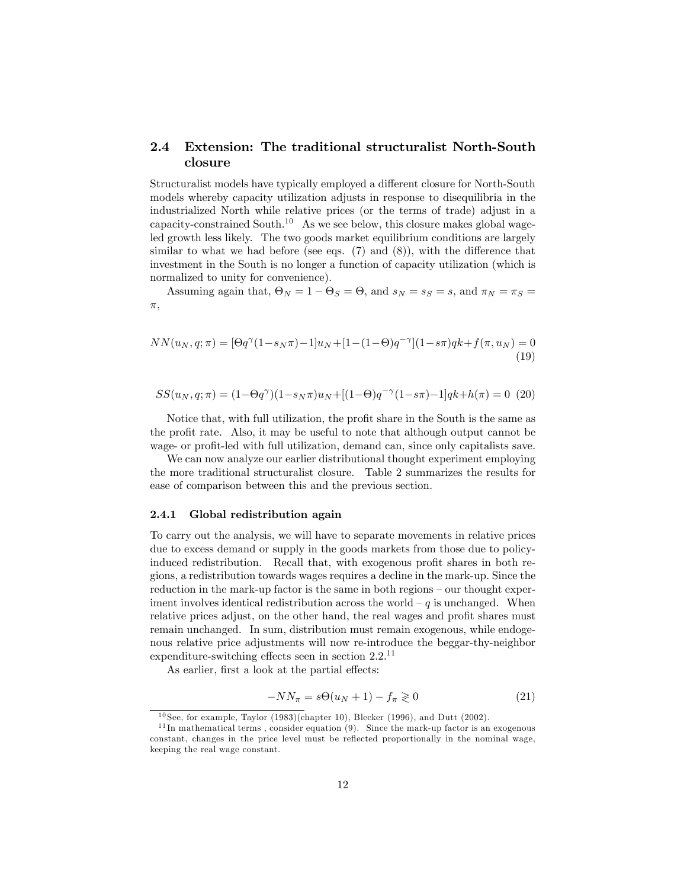#### 2.4 Extension: The traditional structuralist North-South closure

Structuralist models have typically employed a different closure for North-South models whereby capacity utilization adjusts in response to disequilibria in the industrialized North while relative prices (or the terms of trade) adjust in a capacity-constrained South.<sup>10</sup> As we see below, this closure makes global wageled growth less likely. The two goods market equilibrium conditions are largely similar to what we had before (see eqs.  $(7)$  and  $(8)$ ), with the difference that investment in the South is no longer a function of capacity utilization (which is normalized to unity for convenience).

Assuming again that,  $\Theta_N = 1 - \Theta_S = \Theta$ , and  $s_N = s_S = s$ , and  $\pi_N = \pi_S =$  $\pi$ ,

$$
NN(u_N, q; \pi) = [\Theta q^{\gamma} (1 - s_N \pi) - 1] u_N + [1 - (1 - \Theta) q^{-\gamma}] (1 - s \pi) q k + f(\pi, u_N) = 0
$$
\n(19)

$$
SS(u_N,q;\pi)=(1-\Theta q^{\gamma})(1-s_N\pi)u_N+[(1-\Theta)q^{-\gamma}(1-s\pi)-1]qk+h(\pi)=0\eqno(20)
$$

Notice that, with full utilization, the profit share in the South is the same as the profit rate. Also, it may be useful to note that although output cannot be wage- or profit-led with full utilization, demand can, since only capitalists save.

We can now analyze our earlier distributional thought experiment employing the more traditional structuralist closure. Table 2 summarizes the results for ease of comparison between this and the previous section.

#### 2.4.1 Global redistribution again

To carry out the analysis, we will have to separate movements in relative prices due to excess demand or supply in the goods markets from those due to policyinduced redistribution. Recall that, with exogenous profit shares in both regions, a redistribution towards wages requires a decline in the mark-up. Since the reduction in the mark-up factor is the same in both regions — our thought experiment involves identical redistribution across the world  $-q$  is unchanged. When relative prices adjust, on the other hand, the real wages and profit shares must remain unchanged. In sum, distribution must remain exogenous, while endogenous relative price adjustments will now re-introduce the beggar-thy-neighbor expenditure-switching effects seen in section  $2.2^{11}$ 

As earlier, first a look at the partial effects:

$$
-NN_{\pi} = s\Theta(u_N + 1) - f_{\pi} \geq 0
$$
\n(21)

<sup>&</sup>lt;sup>10</sup> See, for example, Taylor (1983)(chapter 10), Blecker (1996), and Dutt (2002).

 $11$  In mathematical terms, consider equation (9). Since the mark-up factor is an exogenous constant, changes in the price level must be reflected proportionally in the nominal wage, keeping the real wage constant.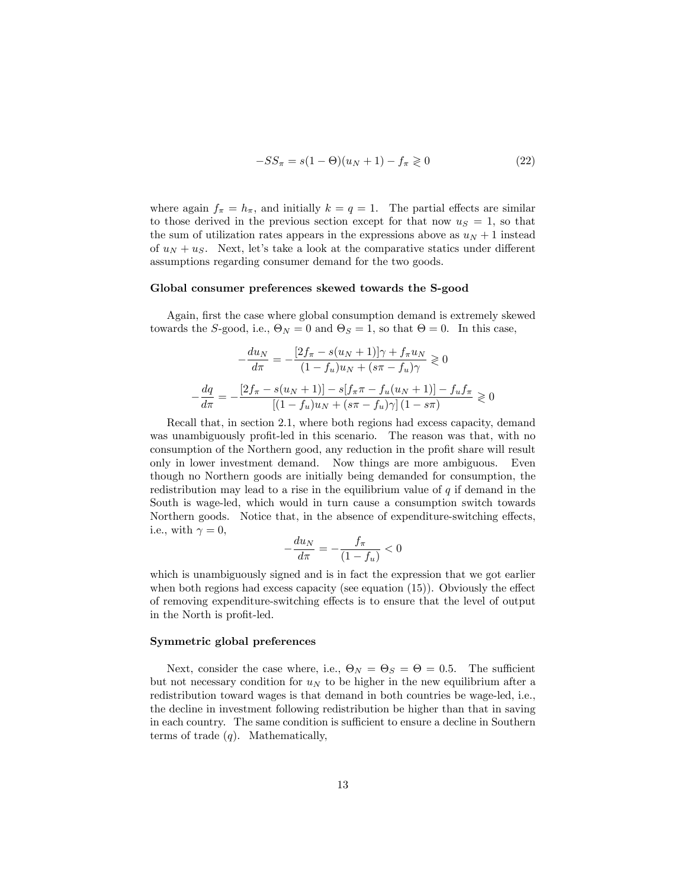$$
-SS_{\pi} = s(1 - \Theta)(u_N + 1) - f_{\pi} \ge 0
$$
 (22)

where again  $f_{\pi} = h_{\pi}$ , and initially  $k = q = 1$ . The partial effects are similar to those derived in the previous section except for that now  $u<sub>S</sub> = 1$ , so that the sum of utilization rates appears in the expressions above as  $u_N + 1$  instead of  $u_N + u_S$ . Next, let's take a look at the comparative statics under different assumptions regarding consumer demand for the two goods.

#### Global consumer preferences skewed towards the S-good

Again, first the case where global consumption demand is extremely skewed towards the *S*-good, i.e.,  $\Theta_N = 0$  and  $\Theta_S = 1$ , so that  $\Theta = 0$ . In this case,

$$
-\frac{du_N}{d\pi} = -\frac{[2f_\pi - s(u_N + 1)]\gamma + f_\pi u_N}{(1 - f_u)u_N + (s\pi - f_u)\gamma} \ge 0
$$

$$
-\frac{dq}{d\pi} = -\frac{[2f_\pi - s(u_N + 1)] - s[f_\pi \pi - f_u(u_N + 1)] - f_u f_\pi}{[(1 - f_u)u_N + (s\pi - f_u)\gamma](1 - s\pi)} \ge 0
$$

Recall that, in section 2.1, where both regions had excess capacity, demand was unambiguously profit-led in this scenario. The reason was that, with no consumption of the Northern good, any reduction in the profit share will result only in lower investment demand. Now things are more ambiguous. Even though no Northern goods are initially being demanded for consumption, the redistribution may lead to a rise in the equilibrium value of *q* if demand in the South is wage-led, which would in turn cause a consumption switch towards Northern goods. Notice that, in the absence of expenditure-switching effects, i.e., with  $\gamma = 0$ ,

$$
-\frac{du_N}{d\pi} = -\frac{f_\pi}{(1 - f_u)} < 0
$$

which is unambiguously signed and is in fact the expression that we got earlier when both regions had excess capacity (see equation  $(15)$ ). Obviously the effect of removing expenditure-switching e§ects is to ensure that the level of output in the North is profit-led.

#### Symmetric global preferences

Next, consider the case where, i.e.,  $\Theta_N = \Theta_S = \Theta = 0.5$ . The sufficient but not necessary condition for  $u_N$  to be higher in the new equilibrium after a redistribution toward wages is that demand in both countries be wage-led, i.e., the decline in investment following redistribution be higher than that in saving in each country. The same condition is sufficient to ensure a decline in Southern terms of trade (*q*). Mathematically,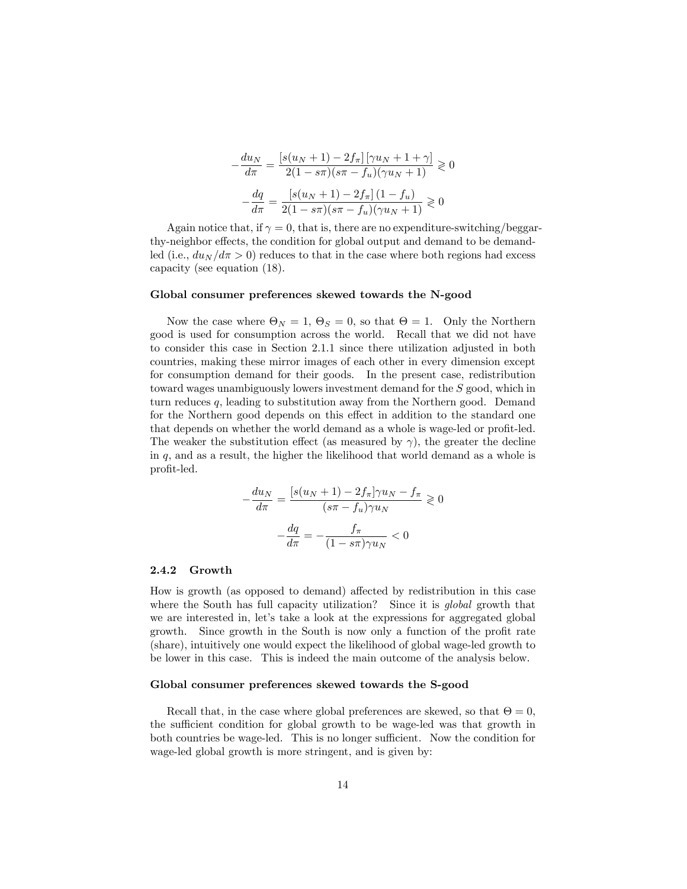$$
-\frac{du_N}{d\pi} = \frac{\left[s(u_N + 1) - 2f_\pi\right]\left[\gamma u_N + 1 + \gamma\right]}{2(1 - s\pi)(s\pi - f_u)(\gamma u_N + 1)} \geq 0
$$

$$
-\frac{dq}{d\pi} = \frac{\left[s(u_N + 1) - 2f_\pi\right](1 - f_u)}{2(1 - s\pi)(s\pi - f_u)(\gamma u_N + 1)} \geq 0
$$

Again notice that, if  $\gamma = 0$ , that is, there are no expenditure-switching/beggarthy-neighbor effects, the condition for global output and demand to be demandled (i.e.,  $du_N/d\pi > 0$ ) reduces to that in the case where both regions had excess capacity (see equation (18).

#### Global consumer preferences skewed towards the N-good

Now the case where  $\Theta_N = 1$ ,  $\Theta_S = 0$ , so that  $\Theta = 1$ . Only the Northern good is used for consumption across the world. Recall that we did not have to consider this case in Section 2.1.1 since there utilization adjusted in both countries, making these mirror images of each other in every dimension except for consumption demand for their goods. In the present case, redistribution toward wages unambiguously lowers investment demand for the *S* good, which in turn reduces *q*, leading to substitution away from the Northern good. Demand for the Northern good depends on this effect in addition to the standard one that depends on whether the world demand as a whole is wage-led or profit-led. The weaker the substitution effect (as measured by  $\gamma$ ), the greater the decline in *q*, and as a result, the higher the likelihood that world demand as a whole is profit-led.

$$
-\frac{du_N}{d\pi} = \frac{\left[s(u_N + 1) - 2f_\pi\right]\gamma u_N - f_\pi}{(s\pi - f_u)\gamma u_N} \ge 0
$$

$$
-\frac{dq}{d\pi} = -\frac{f_\pi}{(1 - s\pi)\gamma u_N} < 0
$$

#### 2.4.2 Growth

How is growth (as opposed to demand) affected by redistribution in this case where the South has full capacity utilization? Since it is *global* growth that we are interested in, let's take a look at the expressions for aggregated global growth. Since growth in the South is now only a function of the profit rate (share), intuitively one would expect the likelihood of global wage-led growth to be lower in this case. This is indeed the main outcome of the analysis below.

#### Global consumer preferences skewed towards the S-good

Recall that, in the case where global preferences are skewed, so that  $\Theta = 0$ , the sufficient condition for global growth to be wage-led was that growth in both countries be wage-led. This is no longer sufficient. Now the condition for wage-led global growth is more stringent, and is given by: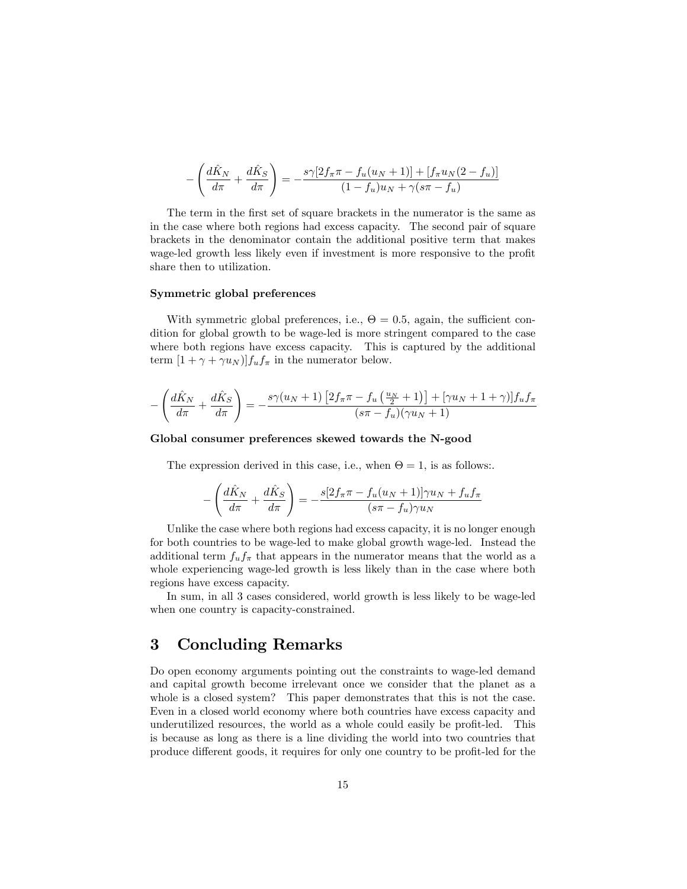$$
-\left(\frac{d\hat{K}_N}{d\pi} + \frac{d\hat{K}_S}{d\pi}\right) = -\frac{s\gamma[2f_\pi\pi - f_u(u_N + 1)] + [f_\pi u_N(2 - f_u)]}{(1 - f_u)u_N + \gamma(s\pi - f_u)}
$$

The term in the first set of square brackets in the numerator is the same as in the case where both regions had excess capacity. The second pair of square brackets in the denominator contain the additional positive term that makes wage-led growth less likely even if investment is more responsive to the profit share then to utilization.

#### Symmetric global preferences

With symmetric global preferences, i.e.,  $\Theta = 0.5$ , again, the sufficient condition for global growth to be wage-led is more stringent compared to the case where both regions have excess capacity. This is captured by the additional term  $[1 + \gamma + \gamma u_N]f_u f_\pi$  in the numerator below.

$$
-\left(\frac{d\hat{K}_N}{d\pi} + \frac{d\hat{K}_S}{d\pi}\right) = -\frac{s\gamma(u_N+1)\left[2f_\pi\pi - f_u\left(\frac{u_N}{2}+1\right)\right] + \left[\gamma u_N+1+\gamma\right]\right]f_uf_\pi}{(s\pi - f_u)(\gamma u_N+1)}
$$

#### Global consumer preferences skewed towards the N-good

The expression derived in this case, i.e., when  $\Theta = 1$ , is as follows:.

$$
-\left(\frac{d\hat{K}_N}{d\pi} + \frac{d\hat{K}_S}{d\pi}\right) = -\frac{s[2f_\pi\pi - f_u(u_N+1)]\gamma u_N + f_u f_\pi}{(s\pi - f_u)\gamma u_N}
$$

Unlike the case where both regions had excess capacity, it is no longer enough for both countries to be wage-led to make global growth wage-led. Instead the additional term  $f_u f_\pi$  that appears in the numerator means that the world as a whole experiencing wage-led growth is less likely than in the case where both regions have excess capacity.

In sum, in all 3 cases considered, world growth is less likely to be wage-led when one country is capacity-constrained.

## 3 Concluding Remarks

Do open economy arguments pointing out the constraints to wage-led demand and capital growth become irrelevant once we consider that the planet as a whole is a closed system? This paper demonstrates that this is not the case. Even in a closed world economy where both countries have excess capacity and underutilized resources, the world as a whole could easily be profit-led. This is because as long as there is a line dividing the world into two countries that produce different goods, it requires for only one country to be profit-led for the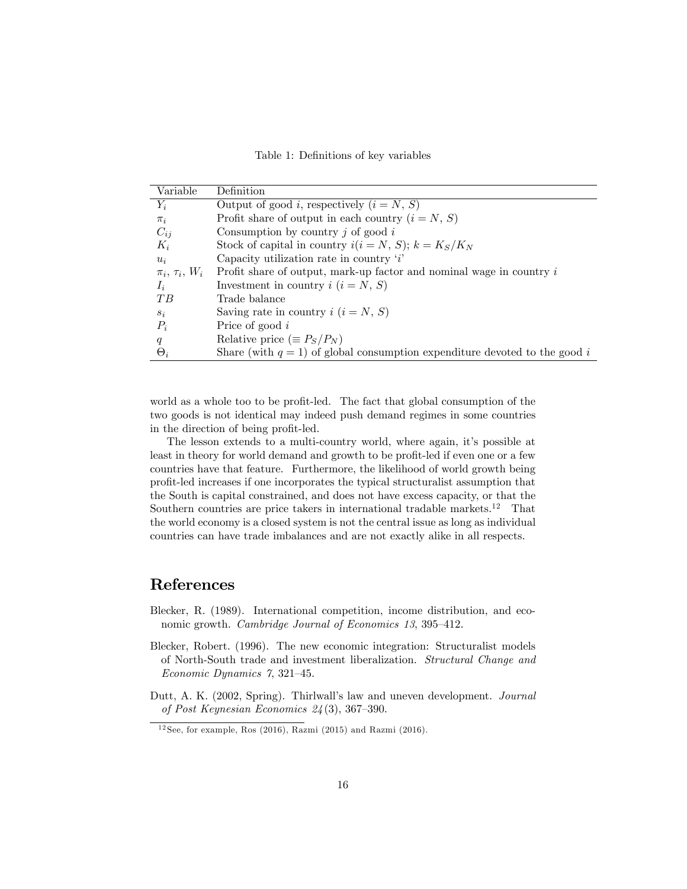Table 1: Definitions of key variables

| Variable                   | Definition                                                                    |  |  |
|----------------------------|-------------------------------------------------------------------------------|--|--|
| $Y_i$                      | Output of good <i>i</i> , respectively $(i = N, S)$                           |  |  |
| $\pi_i$                    | Profit share of output in each country $(i = N, S)$                           |  |  |
| $C_{ij}$                   | Consumption by country $j$ of good $i$                                        |  |  |
| $K_i$                      | Stock of capital in country $i(i = N, S); k = K_S/K_N$                        |  |  |
| $u_i$                      | Capacity utilization rate in country $i'$                                     |  |  |
| $\pi_i$ , $\tau_i$ , $W_i$ | Profit share of output, mark-up factor and nominal wage in country $i$        |  |  |
| $I_i$                      | Investment in country $i$ $(i = N, S)$                                        |  |  |
| $T$ $B$                    | Trade balance                                                                 |  |  |
| $S_i$                      | Saving rate in country $i$ $(i = N, S)$                                       |  |  |
| $P_i$                      | Price of good $i$                                                             |  |  |
| q                          | Relative price $(\equiv P_S/P_N)$                                             |  |  |
| $\Theta_i$                 | Share (with $q = 1$ ) of global consumption expenditure devoted to the good i |  |  |

world as a whole too to be profit-led. The fact that global consumption of the two goods is not identical may indeed push demand regimes in some countries in the direction of being profit-led.

The lesson extends to a multi-country world, where again, it's possible at least in theory for world demand and growth to be profit-led if even one or a few countries have that feature. Furthermore, the likelihood of world growth being profit-led increases if one incorporates the typical structuralist assumption that the South is capital constrained, and does not have excess capacity, or that the Southern countries are price takers in international tradable markets.<sup>12</sup> That the world economy is a closed system is not the central issue as long as individual countries can have trade imbalances and are not exactly alike in all respects.

## References

- Blecker, R. (1989). International competition, income distribution, and economic growth. *Cambridge Journal of Economics 13*, 395—412.
- Blecker, Robert. (1996). The new economic integration: Structuralist models of North-South trade and investment liberalization. *Structural Change and Economic Dynamics 7*, 321—45.
- Dutt, A. K. (2002, Spring). Thirlwall's law and uneven development. *Journal of Post Keynesian Economics 24* (3), 367—390.

 $12$  See, for example, Ros (2016), Razmi (2015) and Razmi (2016).